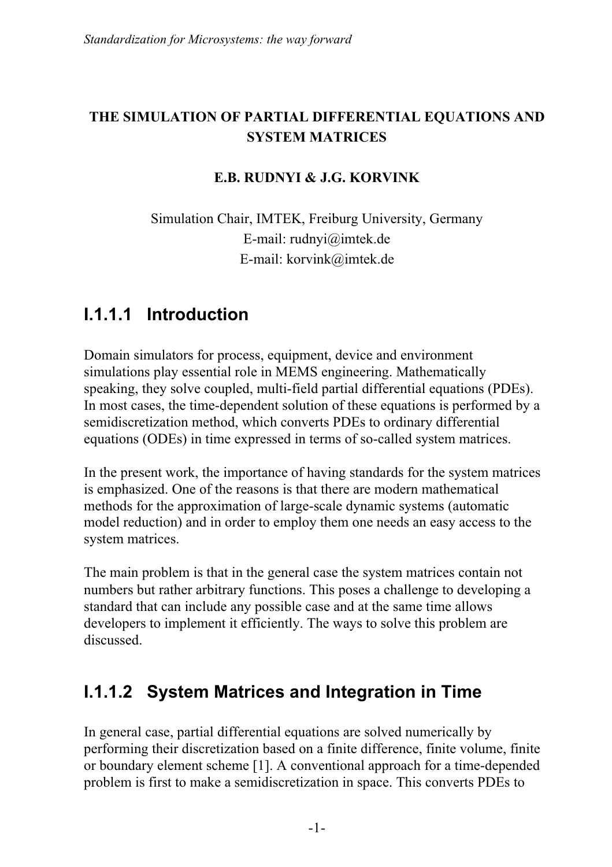#### **THE SIMULATION OF PARTIAL DIFFERENTIAL EQUATIONS AND SYSTEM MATRICES**

#### **E.B. RUDNYI & J.G. KORVINK**

Simulation Chair, IMTEK, Freiburg University, Germany E-mail: rudnyi@imtek.de E-mail: korvink@imtek.de

#### **I.1.1.1 Introduction**

Domain simulators for process, equipment, device and environment simulations play essential role in MEMS engineering. Mathematically speaking, they solve coupled, multi-field partial differential equations (PDEs). In most cases, the time-dependent solution of these equations is performed by a semidiscretization method, which converts PDEs to ordinary differential equations (ODEs) in time expressed in terms of so-called system matrices.

In the present work, the importance of having standards for the system matrices is emphasized. One of the reasons is that there are modern mathematical methods for the approximation of large-scale dynamic systems (automatic model reduction) and in order to employ them one needs an easy access to the system matrices.

The main problem is that in the general case the system matrices contain not numbers but rather arbitrary functions. This poses a challenge to developing a standard that can include any possible case and at the same time allows developers to implement it efficiently. The ways to solve this problem are discussed.

#### **I.1.1.2 System Matrices and Integration in Time**

In general case, partial differential equations are solved numerically by performing their discretization based on a finite difference, finite volume, finite or boundary element scheme [1]. A conventional approach for a time-depended problem is first to make a semidiscretization in space. This converts PDEs to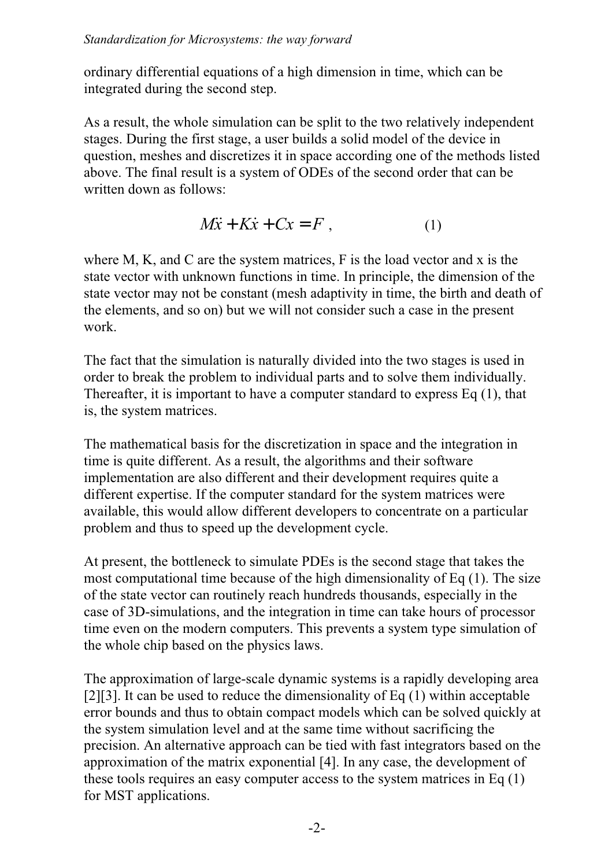ordinary differential equations of a high dimension in time, which can be integrated during the second step.

As a result, the whole simulation can be split to the two relatively independent stages. During the first stage, a user builds a solid model of the device in question, meshes and discretizes it in space according one of the methods listed above. The final result is a system of ODEs of the second order that can be written down as follows:

$$
M\ddot{x} + K\dot{x} + Cx = F , \qquad (1)
$$

where M, K, and C are the system matrices, F is the load vector and x is the state vector with unknown functions in time. In principle, the dimension of the state vector may not be constant (mesh adaptivity in time, the birth and death of the elements, and so on) but we will not consider such a case in the present work.

The fact that the simulation is naturally divided into the two stages is used in order to break the problem to individual parts and to solve them individually. Thereafter, it is important to have a computer standard to express Eq (1), that is, the system matrices.

The mathematical basis for the discretization in space and the integration in time is quite different. As a result, the algorithms and their software implementation are also different and their development requires quite a different expertise. If the computer standard for the system matrices were available, this would allow different developers to concentrate on a particular problem and thus to speed up the development cycle.

At present, the bottleneck to simulate PDEs is the second stage that takes the most computational time because of the high dimensionality of Eq (1). The size of the state vector can routinely reach hundreds thousands, especially in the case of 3D-simulations, and the integration in time can take hours of processor time even on the modern computers. This prevents a system type simulation of the whole chip based on the physics laws.

The approximation of large-scale dynamic systems is a rapidly developing area [2][3]. It can be used to reduce the dimensionality of Eq (1) within acceptable error bounds and thus to obtain compact models which can be solved quickly at the system simulation level and at the same time without sacrificing the precision. An alternative approach can be tied with fast integrators based on the approximation of the matrix exponential [4]. In any case, the development of these tools requires an easy computer access to the system matrices in Eq (1) for MST applications.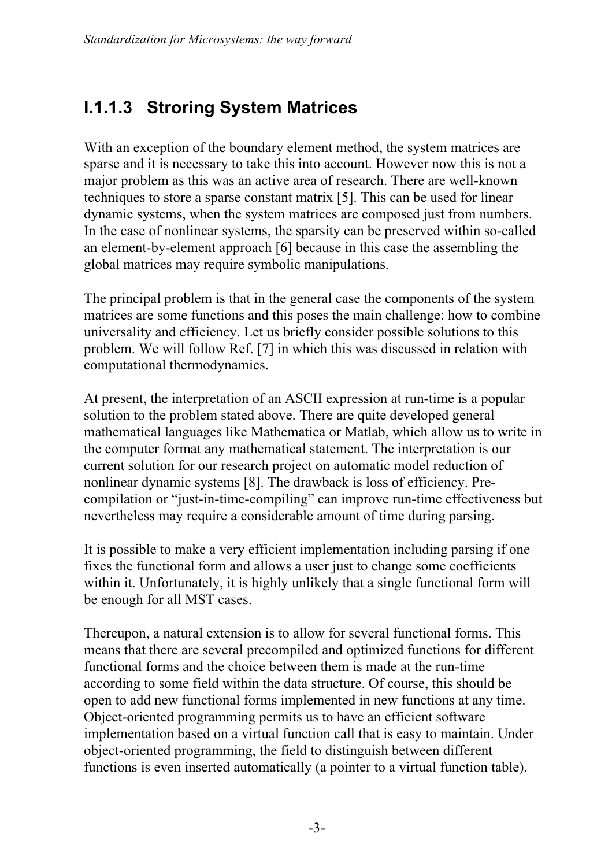### **I.1.1.3 Stroring System Matrices**

With an exception of the boundary element method, the system matrices are sparse and it is necessary to take this into account. However now this is not a major problem as this was an active area of research. There are well-known techniques to store a sparse constant matrix [5]. This can be used for linear dynamic systems, when the system matrices are composed just from numbers. In the case of nonlinear systems, the sparsity can be preserved within so-called an element-by-element approach [6] because in this case the assembling the global matrices may require symbolic manipulations.

The principal problem is that in the general case the components of the system matrices are some functions and this poses the main challenge: how to combine universality and efficiency. Let us briefly consider possible solutions to this problem. We will follow Ref. [7] in which this was discussed in relation with computational thermodynamics.

At present, the interpretation of an ASCII expression at run-time is a popular solution to the problem stated above. There are quite developed general mathematical languages like Mathematica or Matlab, which allow us to write in the computer format any mathematical statement. The interpretation is our current solution for our research project on automatic model reduction of nonlinear dynamic systems [8]. The drawback is loss of efficiency. Precompilation or "just-in-time-compiling" can improve run-time effectiveness but nevertheless may require a considerable amount of time during parsing.

It is possible to make a very efficient implementation including parsing if one fixes the functional form and allows a user just to change some coefficients within it. Unfortunately, it is highly unlikely that a single functional form will be enough for all MST cases.

Thereupon, a natural extension is to allow for several functional forms. This means that there are several precompiled and optimized functions for different functional forms and the choice between them is made at the run-time according to some field within the data structure. Of course, this should be open to add new functional forms implemented in new functions at any time. Object-oriented programming permits us to have an efficient software implementation based on a virtual function call that is easy to maintain. Under object-oriented programming, the field to distinguish between different functions is even inserted automatically (a pointer to a virtual function table).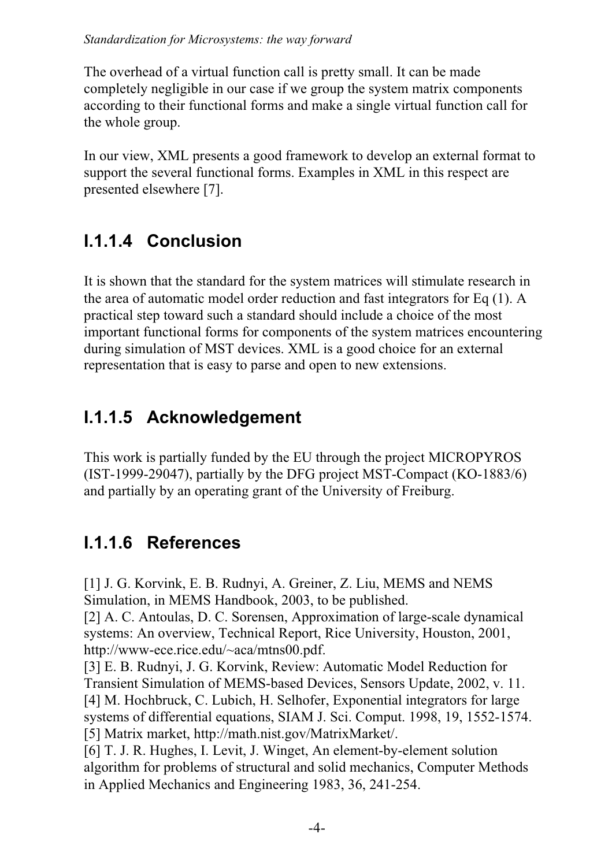The overhead of a virtual function call is pretty small. It can be made completely negligible in our case if we group the system matrix components according to their functional forms and make a single virtual function call for the whole group.

In our view, XML presents a good framework to develop an external format to support the several functional forms. Examples in XML in this respect are presented elsewhere [7].

# **I.1.1.4 Conclusion**

It is shown that the standard for the system matrices will stimulate research in the area of automatic model order reduction and fast integrators for Eq (1). A practical step toward such a standard should include a choice of the most important functional forms for components of the system matrices encountering during simulation of MST devices. XML is a good choice for an external representation that is easy to parse and open to new extensions.

# **I.1.1.5 Acknowledgement**

This work is partially funded by the EU through the project MICROPYROS (IST-1999-29047), partially by the DFG project MST-Compact (KO-1883/6) and partially by an operating grant of the University of Freiburg.

# **I.1.1.6 References**

[1] J. G. Korvink, E. B. Rudnyi, A. Greiner, Z. Liu, MEMS and NEMS Simulation, in MEMS Handbook, 2003, to be published. [2] A. C. Antoulas, D. C. Sorensen, Approximation of large-scale dynamical systems: An overview, Technical Report, Rice University, Houston, 2001, http://www-ece.rice.edu/~aca/mtns00.pdf. [3] E. B. Rudnyi, J. G. Korvink, Review: Automatic Model Reduction for Transient Simulation of MEMS-based Devices, Sensors Update, 2002, v. 11. [4] M. Hochbruck, C. Lubich, H. Selhofer, Exponential integrators for large systems of differential equations, SIAM J. Sci. Comput. 1998, 19, 1552-1574. [5] Matrix market, http://math.nist.gov/MatrixMarket/. [6] T. J. R. Hughes, I. Levit, J. Winget, An element-by-element solution

algorithm for problems of structural and solid mechanics, Computer Methods in Applied Mechanics and Engineering 1983, 36, 241-254.